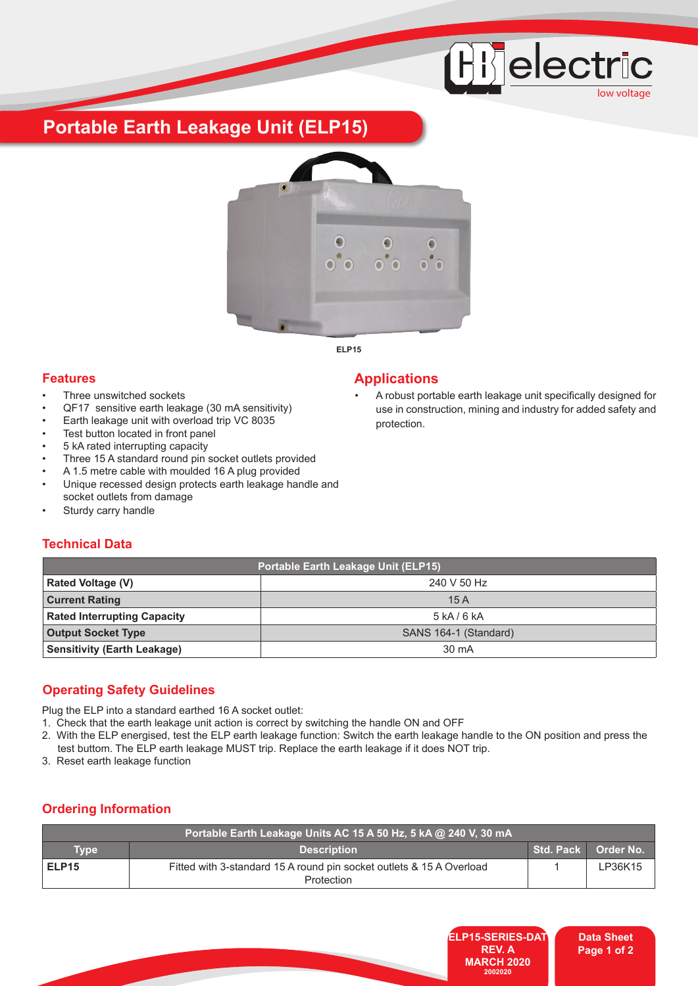# **Hijelectric** low voltage

**Portable Earth Leakage Unit (ELP15)**



**ELP15**

## **Features Applications**

- Three unswitched sockets
- QF17 sensitive earth leakage (30 mA sensitivity)
- Earth leakage unit with overload trip VC 8035
- Test button located in front panel
- 5 kA rated interrupting capacity
- Three 15 A standard round pin socket outlets provided
- A 1.5 metre cable with moulded 16 A plug provided
- Unique recessed design protects earth leakage handle and socket outlets from damage
- Sturdy carry handle

• A robust portable earth leakage unit specifically designed for use in construction, mining and industry for added safety and protection.

# **Technical Data**

| <b>Portable Earth Leakage Unit (ELP15)</b> |                       |  |
|--------------------------------------------|-----------------------|--|
| <b>Rated Voltage (V)</b>                   | 240 V 50 Hz           |  |
| <b>Current Rating</b>                      | 15A                   |  |
| <b>Rated Interrupting Capacity</b>         | 5 kA/6 kA             |  |
| <b>Output Socket Type</b>                  | SANS 164-1 (Standard) |  |
| <b>Sensitivity (Earth Leakage)</b>         | 30 mA                 |  |

# **Operating Safety Guidelines**

Plug the ELP into a standard earthed 16 A socket outlet:

- 1. Check that the earth leakage unit action is correct by switching the handle ON and OFF
- 2. With the ELP energised, test the ELP earth leakage function: Switch the earth leakage handle to the ON position and press the   test buttom. The ELP earth leakage MUST trip. Replace the earth leakage if it does NOT trip.
- 3. Reset earth leakage function

# **Ordering Information**

| Portable Earth Leakage Units AC 15 A 50 Hz, 5 kA @ 240 V, 30 mA |                                                                                           |  |                     |
|-----------------------------------------------------------------|-------------------------------------------------------------------------------------------|--|---------------------|
| <b>Type</b>                                                     | <b>Description</b>                                                                        |  | Std. Pack Order No. |
| ELP <sub>15</sub>                                               | Fitted with 3-standard 15 A round pin socket outlets & 15 A Overload<br><b>Protection</b> |  | LP36K15             |



**Data Sheet Page 1 of 2**